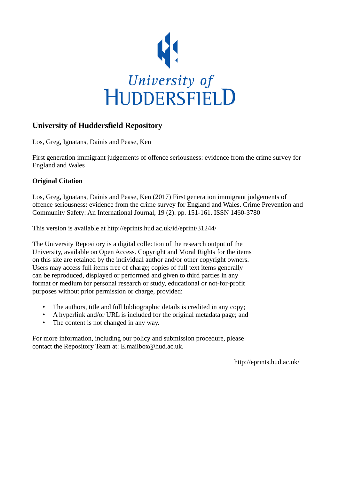

## **University of Huddersfield Repository**

Los, Greg, Ignatans, Dainis and Pease, Ken

First generation immigrant judgements of offence seriousness: evidence from the crime survey for England and Wales

## **Original Citation**

Los, Greg, Ignatans, Dainis and Pease, Ken (2017) First generation immigrant judgements of offence seriousness: evidence from the crime survey for England and Wales. Crime Prevention and Community Safety: An International Journal, 19 (2). pp. 151-161. ISSN 1460-3780

This version is available at http://eprints.hud.ac.uk/id/eprint/31244/

The University Repository is a digital collection of the research output of the University, available on Open Access. Copyright and Moral Rights for the items on this site are retained by the individual author and/or other copyright owners. Users may access full items free of charge; copies of full text items generally can be reproduced, displayed or performed and given to third parties in any format or medium for personal research or study, educational or not-for-profit purposes without prior permission or charge, provided:

- The authors, title and full bibliographic details is credited in any copy;
- A hyperlink and/or URL is included for the original metadata page; and
- The content is not changed in any way.

For more information, including our policy and submission procedure, please contact the Repository Team at: E.mailbox@hud.ac.uk.

http://eprints.hud.ac.uk/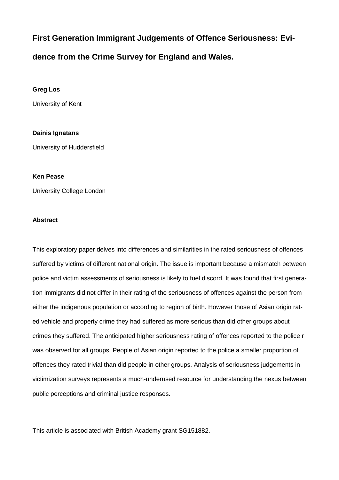# **First Generation Immigrant Judgements of Offence Seriousness: Evi-**

# **dence from the Crime Survey for England and Wales.**

#### **Greg Los**

University of Kent

### **Dainis Ignatans**

University of Huddersfield

#### **Ken Pease**

University College London

#### **Abstract**

This exploratory paper delves into differences and similarities in the rated seriousness of offences suffered by victims of different national origin. The issue is important because a mismatch between police and victim assessments of seriousness is likely to fuel discord. It was found that first generation immigrants did not differ in their rating of the seriousness of offences against the person from either the indigenous population or according to region of birth. However those of Asian origin rated vehicle and property crime they had suffered as more serious than did other groups about crimes they suffered. The anticipated higher seriousness rating of offences reported to the police r was observed for all groups. People of Asian origin reported to the police a smaller proportion of offences they rated trivial than did people in other groups. Analysis of seriousness judgements in victimization surveys represents a much-underused resource for understanding the nexus between public perceptions and criminal justice responses.

This article is associated with British Academy grant SG151882.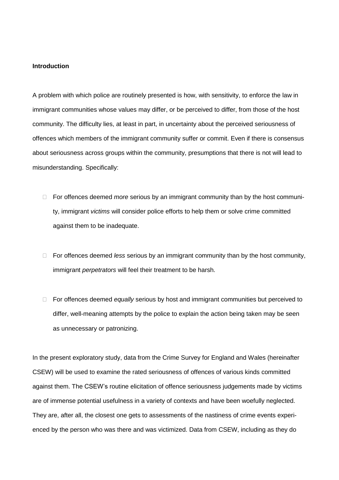#### **Introduction**

A problem with which police are routinely presented is how, with sensitivity, to enforce the law in immigrant communities whose values may differ, or be perceived to differ, from those of the host community. The difficulty lies, at least in part, in uncertainty about the perceived seriousness of offences which members of the immigrant community suffer or commit. Even if there is consensus about seriousness across groups within the community, presumptions that there is not will lead to misunderstanding. Specifically:

- For offences deemed *more* serious by an immigrant community than by the host community, immigrant *victims* will consider police efforts to help them or solve crime committed against them to be inadequate.
- For offences deemed *less* serious by an immigrant community than by the host community, immigrant *perpetrators* will feel their treatment to be harsh.
- For offences deemed *equally* serious by host and immigrant communities but perceived to differ, well-meaning attempts by the police to explain the action being taken may be seen as unnecessary or patronizing.

In the present exploratory study, data from the Crime Survey for England and Wales (hereinafter CSEW) will be used to examine the rated seriousness of offences of various kinds committed against them. The CSEW's routine elicitation of offence seriousness judgements made by victims are of immense potential usefulness in a variety of contexts and have been woefully neglected. They are, after all, the closest one gets to assessments of the nastiness of crime events experienced by the person who was there and was victimized. Data from CSEW, including as they do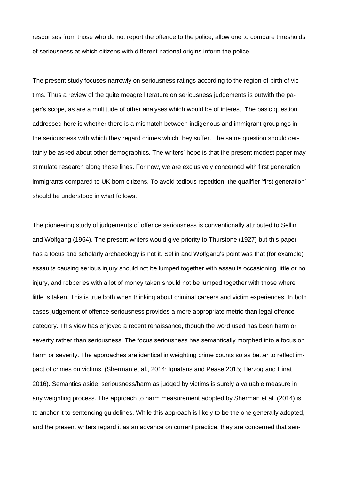responses from those who do not report the offence to the police, allow one to compare thresholds of seriousness at which citizens with different national origins inform the police.

The present study focuses narrowly on seriousness ratings according to the region of birth of victims. Thus a review of the quite meagre literature on seriousness judgements is outwith the paper's scope, as are a multitude of other analyses which would be of interest. The basic question addressed here is whether there is a mismatch between indigenous and immigrant groupings in the seriousness with which they regard crimes which they suffer. The same question should certainly be asked about other demographics. The writers' hope is that the present modest paper may stimulate research along these lines. For now, we are exclusively concerned with first generation immigrants compared to UK born citizens. To avoid tedious repetition, the qualifier 'first generation' should be understood in what follows.

The pioneering study of judgements of offence seriousness is conventionally attributed to Sellin and Wolfgang (1964). The present writers would give priority to Thurstone (1927) but this paper has a focus and scholarly archaeology is not it. Sellin and Wolfgang's point was that (for example) assaults causing serious injury should not be lumped together with assaults occasioning little or no injury, and robberies with a lot of money taken should not be lumped together with those where little is taken. This is true both when thinking about criminal careers and victim experiences. In both cases judgement of offence seriousness provides a more appropriate metric than legal offence category. This view has enjoyed a recent renaissance, though the word used has been harm or severity rather than seriousness. The focus seriousness has semantically morphed into a focus on harm or severity. The approaches are identical in weighting crime counts so as better to reflect impact of crimes on victims. (Sherman et al., 2014; Ignatans and Pease 2015; Herzog and Einat 2016). Semantics aside, seriousness/harm as judged by victims is surely a valuable measure in any weighting process. The approach to harm measurement adopted by Sherman et al. (2014) is to anchor it to sentencing guidelines. While this approach is likely to be the one generally adopted, and the present writers regard it as an advance on current practice, they are concerned that sen-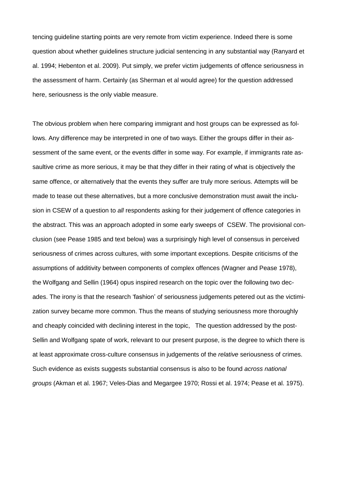tencing guideline starting points are very remote from victim experience. Indeed there is some question about whether guidelines structure judicial sentencing in any substantial way (Ranyard et al. 1994; Hebenton et al. 2009). Put simply, we prefer victim judgements of offence seriousness in the assessment of harm. Certainly (as Sherman et al would agree) for the question addressed here, seriousness is the only viable measure.

The obvious problem when here comparing immigrant and host groups can be expressed as follows. Any difference may be interpreted in one of two ways. Either the groups differ in their assessment of the same event, or the events differ in some way. For example, if immigrants rate assaultive crime as more serious, it may be that they differ in their rating of what is objectively the same offence, or alternatively that the events they suffer are truly more serious. Attempts will be made to tease out these alternatives, but a more conclusive demonstration must await the inclusion in CSEW of a question to *all* respondents asking for their judgement of offence categories in the abstract. This was an approach adopted in some early sweeps of CSEW. The provisional conclusion (see Pease 1985 and text below) was a surprisingly high level of consensus in perceived seriousness of crimes across cultures, with some important exceptions. Despite criticisms of the assumptions of additivity between components of complex offences (Wagner and Pease 1978), the Wolfgang and Sellin (1964) opus inspired research on the topic over the following two decades. The irony is that the research 'fashion' of seriousness judgements petered out as the victimization survey became more common. Thus the means of studying seriousness more thoroughly and cheaply coincided with declining interest in the topic, The question addressed by the post-Sellin and Wolfgang spate of work, relevant to our present purpose, is the degree to which there is at least approximate cross-culture consensus in judgements of the *relative* seriousness of crimes. Such evidence as exists suggests substantial consensus is also to be found *across national groups* (Akman et al. 1967; Veles-Dias and Megargee 1970; Rossi et al. 1974; Pease et al. 1975).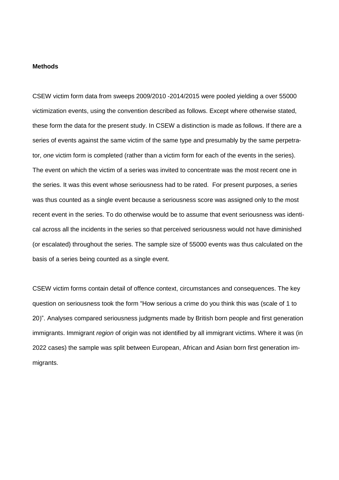#### **Methods**

CSEW victim form data from sweeps 2009/2010 -2014/2015 were pooled yielding a over 55000 victimization events, using the convention described as follows. Except where otherwise stated, these form the data for the present study. In CSEW a distinction is made as follows. If there are a series of events against the same victim of the same type and presumably by the same perpetrator, *one* victim form is completed (rather than a victim form for each of the events in the series). The event on which the victim of a series was invited to concentrate was the most recent one in the series. It was this event whose seriousness had to be rated. For present purposes, a series was thus counted as a single event because a seriousness score was assigned only to the most recent event in the series. To do otherwise would be to assume that event seriousness was identical across all the incidents in the series so that perceived seriousness would not have diminished (or escalated) throughout the series. The sample size of 55000 events was thus calculated on the basis of a series being counted as a single event.

CSEW victim forms contain detail of offence context, circumstances and consequences. The key question on seriousness took the form "How serious a crime do you think this was (scale of 1 to 20)". Analyses compared seriousness judgments made by British born people and first generation immigrants. Immigrant *region* of origin was not identified by all immigrant victims. Where it was (in 2022 cases) the sample was split between European, African and Asian born first generation immigrants.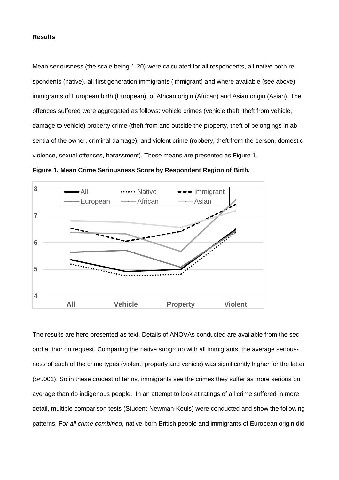#### **Results**

Mean seriousness (the scale being 1-20) were calculated for all respondents, all native born respondents (native), all first generation immigrants (immigrant) and where available (see above) immigrants of European birth (European), of African origin (African) and Asian origin (Asian). The offences suffered were aggregated as follows: vehicle crimes (vehicle theft, theft from vehicle, damage to vehicle) property crime (theft from and outside the property, theft of belongings in absentia of the owner, criminal damage), and violent crime (robbery, theft from the person, domestic violence, sexual offences, harassment). These means are presented as Figure 1.

**Figure 1. Mean Crime Seriousness Score by Respondent Region of Birth.**



The results are here presented as text. Details of ANOVAs conducted are available from the second author on request. Comparing the native subgroup with all immigrants, the average seriousness of each of the crime types (violent, property and vehicle) was significantly higher for the latter (p<.001). So in these crudest of terms, immigrants see the crimes they suffer as more serious on average than do indigenous people. In an attempt to look at ratings of all crime suffered in more detail, multiple comparison tests (Student-Newman-Keuls) were conducted and show the following patterns. F*or all crime combined*, native-born British people and immigrants of European origin did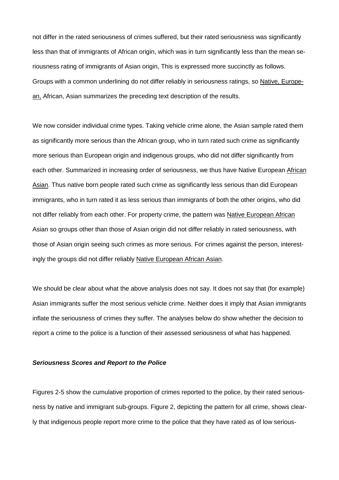not differ in the rated seriousness of crimes suffered, but their rated seriousness was significantly less than that of immigrants of African origin, which was in turn significantly less than the mean seriousness rating of immigrants of Asian origin, This is expressed more succinctly as follows. Groups with a common underlining do not differ reliably in seriousness ratings, so Native, European, African, Asian summarizes the preceding text description of the results.

We now consider individual crime types. Taking vehicle crime alone, the Asian sample rated them as significantly more serious than the African group, who in turn rated such crime as significantly more serious than European origin and indigenous groups, who did not differ significantly from each other. Summarized in increasing order of seriousness, we thus have Native European African Asian. Thus native born people rated such crime as significantly less serious than did European immigrants, who in turn rated it as less serious than immigrants of both the other origins, who did not differ reliably from each other. For property crime, the pattern was Native European African Asian so groups other than those of Asian origin did not differ reliably in rated seriousness, with those of Asian origin seeing such crimes as more serious. For crimes against the person, interestingly the groups did not differ reliably Native European African Asian.

We should be clear about what the above analysis does not say. It does not say that (for example) Asian immigrants suffer the most serious vehicle crime. Neither does it imply that Asian immigrants inflate the seriousness of crimes they suffer. The analyses below do show whether the decision to report a crime to the police is a function of their assessed seriousness of what has happened.

#### *Seriousness Scores and Report to the Police*

Figures 2-5 show the cumulative proportion of crimes reported to the police, by their rated seriousness by native and immigrant sub-groups. Figure 2, depicting the pattern for all crime, shows clearly that indigenous people report more crime to the police that they have rated as of low serious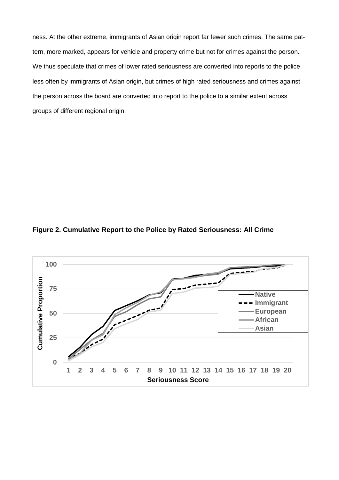ness. At the other extreme, immigrants of Asian origin report far fewer such crimes. The same pattern, more marked, appears for vehicle and property crime but not for crimes against the person. We thus speculate that crimes of lower rated seriousness are converted into reports to the police less often by immigrants of Asian origin, but crimes of high rated seriousness and crimes against the person across the board are converted into report to the police to a similar extent across groups of different regional origin.



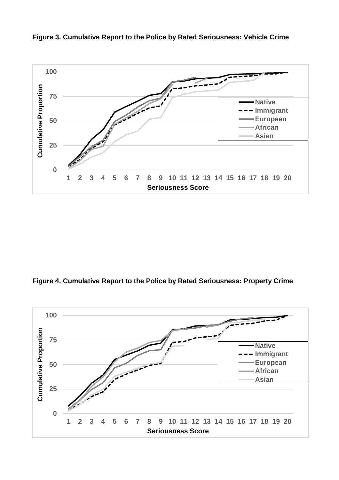

**Figure 3. Cumulative Report to the Police by Rated Seriousness: Vehicle Crime**

**Figure 4. Cumulative Report to the Police by Rated Seriousness: Property Crime**

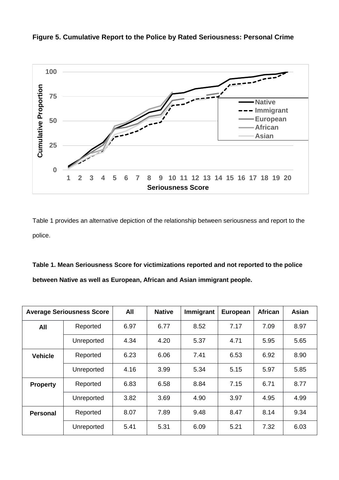

**Figure 5. Cumulative Report to the Police by Rated Seriousness: Personal Crime**

Table 1 provides an alternative depiction of the relationship between seriousness and report to the police.

**Table 1. Mean Seriousness Score for victimizations reported and not reported to the police between Native as well as European, African and Asian immigrant people.**

| <b>Average Seriousness Score</b> |            | <b>All</b> | <b>Native</b> | Immigrant | European | <b>African</b> | Asian |
|----------------------------------|------------|------------|---------------|-----------|----------|----------------|-------|
| All                              | Reported   | 6.97       | 6.77          | 8.52      | 7.17     | 7.09           | 8.97  |
|                                  | Unreported | 4.34       | 4.20          | 5.37      | 4.71     | 5.95           | 5.65  |
| <b>Vehicle</b>                   | Reported   | 6.23       | 6.06          | 7.41      | 6.53     | 6.92           | 8.90  |
|                                  | Unreported | 4.16       | 3.99          | 5.34      | 5.15     | 5.97           | 5.85  |
| <b>Property</b>                  | Reported   | 6.83       | 6.58          | 8.84      | 7.15     | 6.71           | 8.77  |
|                                  | Unreported | 3.82       | 3.69          | 4.90      | 3.97     | 4.95           | 4.99  |
| <b>Personal</b>                  | Reported   | 8.07       | 7.89          | 9.48      | 8.47     | 8.14           | 9.34  |
|                                  | Unreported | 5.41       | 5.31          | 6.09      | 5.21     | 7.32           | 6.03  |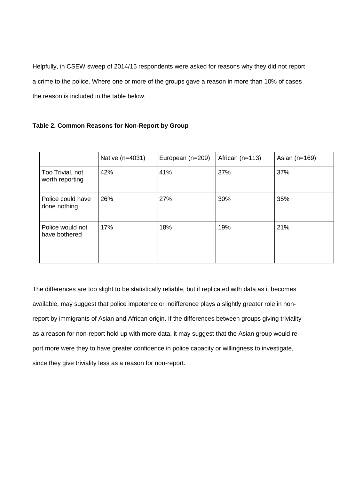Helpfully, in CSEW sweep of 2014/15 respondents were asked for reasons why they did not report a crime to the police. Where one or more of the groups gave a reason in more than 10% of cases the reason is included in the table below.

#### **Table 2. Common Reasons for Non-Report by Group**

|                                     | Native (n=4031) | European (n=209) | African (n=113) | Asian $(n=169)$ |
|-------------------------------------|-----------------|------------------|-----------------|-----------------|
| Too Trivial, not<br>worth reporting | 42%             | 41%              | 37%             | 37%             |
| Police could have<br>done nothing   | 26%             | 27%              | 30%             | 35%             |
| Police would not<br>have bothered   | 17%             | 18%              | 19%             | 21%             |

The differences are too slight to be statistically reliable, but if replicated with data as it becomes available, may suggest that police impotence or indifference plays a slightly greater role in nonreport by immigrants of Asian and African origin. If the differences between groups giving triviality as a reason for non-report hold up with more data, it may suggest that the Asian group would report more were they to have greater confidence in police capacity or willingness to investigate, since they give triviality less as a reason for non-report.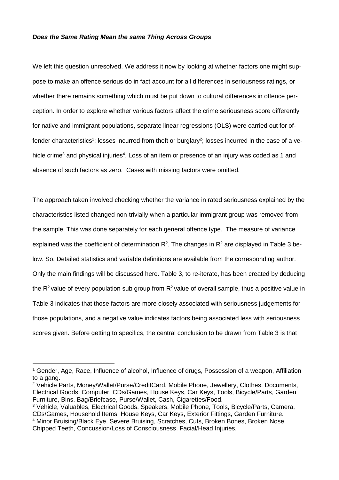#### *Does the Same Rating Mean the same Thing Across Groups*

We left this question unresolved. We address it now by looking at whether factors one might suppose to make an offence serious do in fact account for all differences in seriousness ratings, or whether there remains something which must be put down to cultural differences in offence perception. In order to explore whether various factors affect the crime seriousness score differently for native and immigrant populations, separate linear regressions (OLS) were carried out for offender characteristics<sup>1</sup>; losses incurred from theft or burglary<sup>2</sup>; losses incurred in the case of a vehicle crime<sup>3</sup> and physical injuries<sup>4</sup>. Loss of an item or presence of an injury was coded as 1 and absence of such factors as zero. Cases with missing factors were omitted.

The approach taken involved checking whether the variance in rated seriousness explained by the characteristics listed changed non-trivially when a particular immigrant group was removed from the sample. This was done separately for each general offence type. The measure of variance explained was the coefficient of determination  $R^2$ . The changes in  $R^2$  are displayed in Table 3 below. So, Detailed statistics and variable definitions are available from the corresponding author. Only the main findings will be discussed here. Table 3, to re-iterate, has been created by deducing the  $R^2$  value of every population sub group from  $R^2$  value of overall sample, thus a positive value in Table 3 indicates that those factors are more closely associated with seriousness judgements for those populations, and a negative value indicates factors being associated less with seriousness scores given. Before getting to specifics, the central conclusion to be drawn from Table 3 is that

 $\overline{a}$ 

<sup>&</sup>lt;sup>1</sup> Gender, Age, Race, Influence of alcohol, Influence of drugs, Possession of a weapon, Affiliation to a gang.

<sup>&</sup>lt;sup>2</sup> Vehicle Parts, Money/Wallet/Purse/CreditCard, Mobile Phone, Jewellery, Clothes, Documents, Electrical Goods, Computer, CDs/Games, House Keys, Car Keys, Tools, Bicycle/Parts, Garden Furniture, Bins, Bag/Briefcase, Purse/Wallet, Cash, Cigarettes/Food.

<sup>&</sup>lt;sup>3</sup> Vehicle, Valuables, Electrical Goods, Speakers, Mobile Phone, Tools, Bicycle/Parts, Camera, CDs/Games, Household Items, House Keys, Car Keys, Exterior Fittings, Garden Furniture. <sup>4</sup> Minor Bruising/Black Eye, Severe Bruising, Scratches, Cuts, Broken Bones, Broken Nose, Chipped Teeth, Concussion/Loss of Consciousness, Facial/Head Injuries.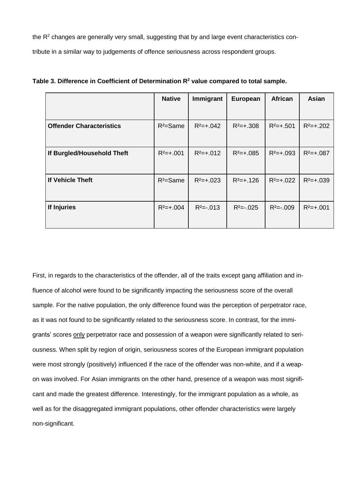the  $R<sup>2</sup>$  changes are generally very small, suggesting that by and large event characteristics contribute in a similar way to judgements of offence seriousness across respondent groups.

|                                 | <b>Native</b>       | Immigrant      | <b>European</b> | <b>African</b> | Asian          |
|---------------------------------|---------------------|----------------|-----------------|----------------|----------------|
|                                 |                     |                |                 |                |                |
| <b>Offender Characteristics</b> | $R^2 = \text{Same}$ | $R^2=+.042$    | $R^2 = +0.308$  | $R^2 = +.501$  | $R^2=+.202$    |
| If Burgled/Household Theft      | $R^2 = +0.001$      | $R^2 = +0.012$ | $R^2 = +0.085$  | $R^2 = +0.093$ | $R^2 = +0.087$ |
| <b>If Vehicle Theft</b>         | $R^2 = \text{Same}$ | $R^2=+.023$    | $R^2 = +.126$   | $R^2=+.022$    | $R^2=+.039$    |
| If Injuries                     | $R^2 = +0.004$      | $R^2 = -013$   | $R^2 = -0.025$  | $R^2 = -009$   | $R^2 = +0.001$ |

| rable 3. Difference in Coefficient of Determination R <sup>2</sup> value compared to total sample |  |  |
|---------------------------------------------------------------------------------------------------|--|--|
|---------------------------------------------------------------------------------------------------|--|--|

First, in regards to the characteristics of the offender, all of the traits except gang affiliation and influence of alcohol were found to be significantly impacting the seriousness score of the overall sample. For the native population, the only difference found was the perception of perpetrator race, as it was not found to be significantly related to the seriousness score. In contrast, for the immigrants' scores only perpetrator race and possession of a weapon were significantly related to seriousness. When split by region of origin, seriousness scores of the European immigrant population were most strongly (positively) influenced if the race of the offender was non-white, and if a weapon was involved. For Asian immigrants on the other hand, presence of a weapon was most significant and made the greatest difference. Interestingly, for the immigrant population as a whole, as well as for the disaggregated immigrant populations, other offender characteristics were largely non-significant.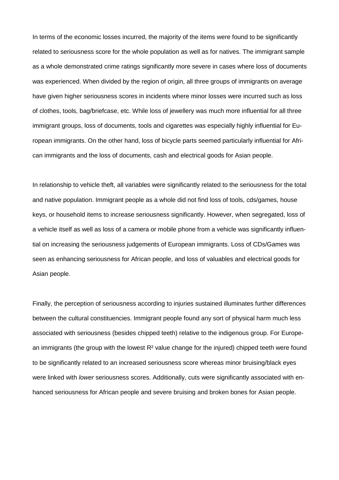In terms of the economic losses incurred, the majority of the items were found to be significantly related to seriousness score for the whole population as well as for natives. The immigrant sample as a whole demonstrated crime ratings significantly more severe in cases where loss of documents was experienced. When divided by the region of origin, all three groups of immigrants on average have given higher seriousness scores in incidents where minor losses were incurred such as loss of clothes, tools, bag/briefcase, etc. While loss of jewellery was much more influential for all three immigrant groups, loss of documents, tools and cigarettes was especially highly influential for European immigrants. On the other hand, loss of bicycle parts seemed particularly influential for African immigrants and the loss of documents, cash and electrical goods for Asian people.

In relationship to vehicle theft, all variables were significantly related to the seriousness for the total and native population. Immigrant people as a whole did not find loss of tools, cds/games, house keys, or household items to increase seriousness significantly. However, when segregated, loss of a vehicle itself as well as loss of a camera or mobile phone from a vehicle was significantly influential on increasing the seriousness judgements of European immigrants. Loss of CDs/Games was seen as enhancing seriousness for African people, and loss of valuables and electrical goods for Asian people.

Finally, the perception of seriousness according to injuries sustained illuminates further differences between the cultural constituencies. Immigrant people found any sort of physical harm much less associated with seriousness (besides chipped teeth) relative to the indigenous group. For European immigrants (the group with the lowest R<sup>2</sup> value change for the injured) chipped teeth were found to be significantly related to an increased seriousness score whereas minor bruising/black eyes were linked with *lower* seriousness scores. Additionally, cuts were significantly associated with enhanced seriousness for African people and severe bruising and broken bones for Asian people.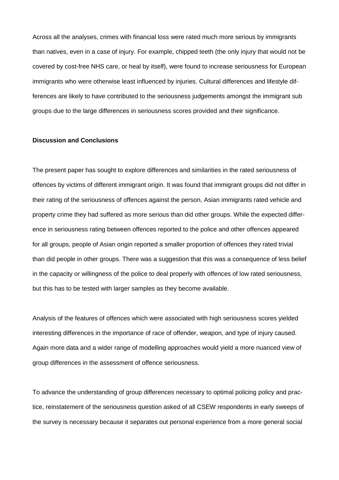Across all the analyses, crimes with financial loss were rated much more serious by immigrants than natives, even in a case of injury. For example, chipped teeth (the only injury that would not be covered by cost-free NHS care, or heal by itself), were found to increase seriousness for European immigrants who were otherwise least influenced by injuries. Cultural differences and lifestyle differences are likely to have contributed to the seriousness judgements amongst the immigrant sub groups due to the large differences in seriousness scores provided and their significance.

#### **Discussion and Conclusions**

The present paper has sought to explore differences and similarities in the rated seriousness of offences by victims of different immigrant origin. It was found that immigrant groups did not differ in their rating of the seriousness of offences against the person, Asian immigrants rated vehicle and property crime they had suffered as more serious than did other groups. While the expected difference in seriousness rating between offences reported to the police and other offences appeared for all groups, people of Asian origin reported a smaller proportion of offences they rated trivial than did people in other groups. There was a suggestion that this was a consequence of less belief in the capacity or willingness of the police to deal properly with offences of low rated seriousness, but this has to be tested with larger samples as they become available.

Analysis of the features of offences which were associated with high seriousness scores yielded interesting differences in the importance of race of offender, weapon, and type of injury caused. Again more data and a wider range of modelling approaches would yield a more nuanced view of group differences in the assessment of offence seriousness.

To advance the understanding of group differences necessary to optimal policing policy and practice, reinstatement of the seriousness question asked of all CSEW respondents in early sweeps of the survey is necessary because it separates out personal experience from a more general social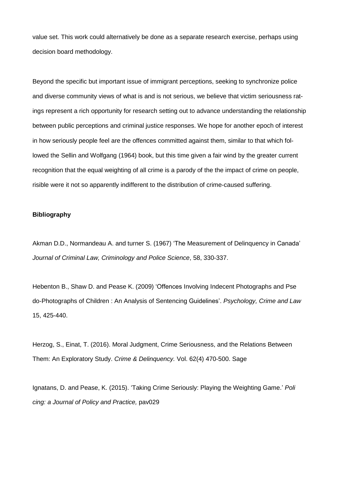value set. This work could alternatively be done as a separate research exercise, perhaps using decision board methodology.

Beyond the specific but important issue of immigrant perceptions, seeking to synchronize police and diverse community views of what is and is not serious, we believe that victim seriousness ratings represent a rich opportunity for research setting out to advance understanding the relationship between public perceptions and criminal justice responses. We hope for another epoch of interest in how seriously people feel are the offences committed against them, similar to that which followed the Sellin and Wolfgang (1964) book, but this time given a fair wind by the greater current recognition that the equal weighting of all crime is a parody of the the impact of crime on people, risible were it not so apparently indifferent to the distribution of crime-caused suffering.

#### **Bibliography**

Akman D.D., Normandeau A. and turner S. (1967) 'The Measurement of Delinquency in Canada' *Journal of Criminal Law, Criminology and Police Science*, 58, 330-337.

Hebenton B., Shaw D. and Pease K. (2009) 'Offences Involving Indecent Photographs and Pse do-Photographs of Children : An Analysis of Sentencing Guidelines'. *Psychology, Crime and Law* 15, 425-440.

Herzog, S., Einat, T. (2016). Moral Judgment, Crime Seriousness, and the Relations Between Them: An Exploratory Study. *Crime & Delinquency.* Vol. 62(4) 470-500. Sage

Ignatans, D. and Pease, K. (2015). 'Taking Crime Seriously: Playing the Weighting Game.' *Poli cing: a Journal of Policy and Practice,* pav029